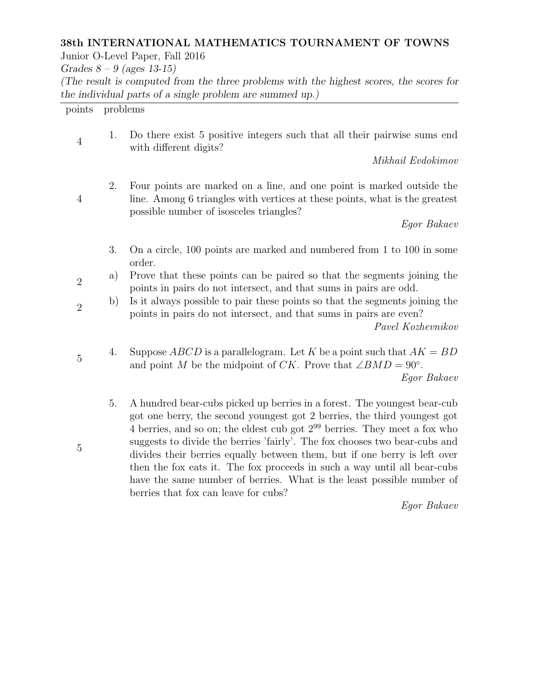## 38th INTERNATIONAL MATHEMATICS TOURNAMENT OF TOWNS

Junior O-Level Paper, Fall 2016

Grades  $8 - 9$  (ages 13-15)

(The result is computed from the three problems with the highest scores, the scores for the individual parts of a single problem are summed up.)

points problems

4

2

5

4 1. Do there exist 5 positive integers such that all their pairwise sums end with different digits?

Mikhail Evdokimov

2. Four points are marked on a line, and one point is marked outside the line. Among 6 triangles with vertices at these points, what is the greatest possible number of isosceles triangles?

Egor Bakaev

- 3. On a circle, 100 points are marked and numbered from 1 to 100 in some order.
- 2 a) Prove that these points can be paired so that the segments joining the points in pairs do not intersect, and that sums in pairs are odd.

b) Is it always possible to pair these points so that the segments joining the points in pairs do not intersect, and that sums in pairs are even?

Pavel Kozhevnikov

4. Suppose  $ABCD$  is a parallelogram. Let K be a point such that  $AK = BD$ and point M be the midpoint of CK. Prove that  $\angle BMD = 90^\circ$ . Egor Bakaev

5. A hundred bear-cubs picked up berries in a forest. The youngest bear-cub got one berry, the second youngest got 2 berries, the third youngest got 4 berries, and so on; the eldest cub got  $2^{99}$  berries. They meet a fox who suggests to divide the berries 'fairly'. The fox chooses two bear-cubs and divides their berries equally between them, but if one berry is left over then the fox eats it. The fox proceeds in such a way until all bear-cubs have the same number of berries. What is the least possible number of berries that fox can leave for cubs?

Egor Bakaev

5